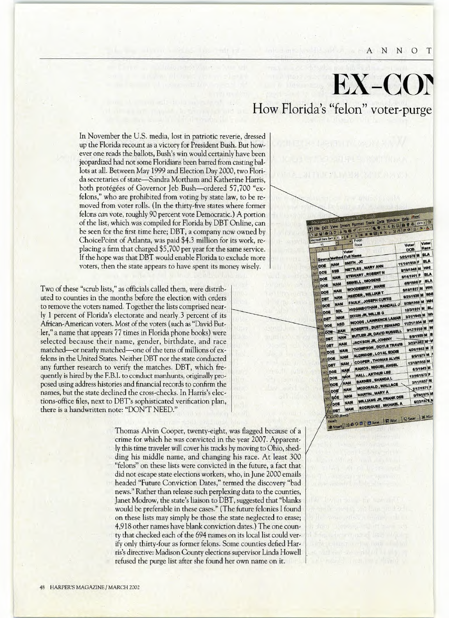A N N O

## **Ex-cor How Florida's "felon"** voter-purge

In November the U.S. media, lost in patriotic reverie, dressed up the Florida recount as a victory for President Bush. But however one reads the ballots, Bush's win would certainlyhave been jeopardized had not some Floridians been barred from casting ballots at all. Between May 1999 and Election Day 2000, two Florida secretaries of state-Sandra Mortham and Katherine Harris, both protégées of Governor Jeb Bush-ordered 57,700 "exfelons," who are prohibited from voting by state law, to be removed from voter rolls. (In the thirty-five states where former felons *can* vote, roughly 90 percent vote Democratic.) A portion of the list, which was compiled for Florida by DBT Online, can be seen for the first time here; DBT, a company now owned by ChoicePoint of Atlanta, was paid \$4.3 million for its work, replacing a firm that charged \$5,700 per year for the same service. If the hope was that DBT would enable Florida to exclude more voters, then the state appears to have spent its money wisely,

Two of these "scrub lists," as officials called them, were distributed to counties in the months before the election with orders to remove the voters named. Together the lists comprised nearly 1 percent of Florida's electorate and nearly.3 percent of its African-American voters. Most of the voters (such as "David Butler," a name that appears 77 times in Florida phone books) were selected because their name, gender, birthdate, and race matched-or nearly matched-one of the tens of millions of exfelons in the United States. Neither DBT nor the state conducted any further research to verify the matches. DBT, which frequently is hired by the F.B.I. to conduct manhunts, originally proposed using address histories and financial records to confirm the names, but the state declined the cross-checks. In Harris's elections-office files, next to DBT's sophisticated verification plan, there is a handwritten note: "DON'T NEED."

> Thomas Alvin Cooper, twenty-eight, was flagged because of a crime for which he was convicted in the year 2007. Apparently this time traveler will cover his tracks by moving to Ohio, shedding his middle name, and changing his race. At least 300 "felons" on these lists were convicted in the future, a fact that did not escape state elections workers, who, in june 2000 emails headed "Future Conviction Dates," termed the discovery "bad news." Rather than release such perplexing data to the counties, Janet Modrow, the state's liaison to DBT, suggested that "blanks would be preferable in these cases." (The future felonies I found on these lists may simply be those the state neglected to erase; 4,918 other names have blank conviction dates.) The one county that checked each of the 694 names on its local list could verify only thirty-four as former felons. Some counties defied Harris's directive: Madison County elections supervisor Linda Howell refused the purge list after she found her own name on it.

| V1<br>A                 | 8             |                 |            | $=$ Felon                                   | Race |                          |                                 | Voter<br>DOB                                    |             | Voter<br>Race |            |
|-------------------------|---------------|-----------------|------------|---------------------------------------------|------|--------------------------|---------------------------------|-------------------------------------------------|-------------|---------------|------------|
|                         |               |                 | Voter      |                                             |      |                          |                                 | 5/25/1978 M                                     |             | <b>BLA</b>    |            |
| Source Method Full Name |               |                 |            | SMITH, JC                                   |      |                          |                                 | 11/14/1959 F                                    |             | <b>BLA</b>    |            |
| DOE                     | <b>NAM</b>    |                 |            |                                             |      | NETTLES, MARY ANN        |                                 | 8/19/1948 M                                     |             |               | <b>WHI</b> |
| DOE                     | <b>SSB</b>    |                 |            |                                             |      | <b>STEWART, ROBERT N</b> |                                 |                                                 |             |               | <b>BLA</b> |
| DOE                     | <b>NAM</b>    |                 |            |                                             |      | SEWELL, IMOGENE          |                                 | 8/14/1951 F                                     |             |               | <b>BLA</b> |
| DOE                     |               | <b>NAM</b>      |            |                                             |      | <b>WOODBERRY, MARIE</b>  |                                 | 4/8/1908 F                                      |             |               | <b>WHI</b> |
| <b>IDOE</b>             |               | <b>NAM</b>      |            |                                             |      | <b>REEDER, WILLIAM T</b> |                                 | 9/10/1927 M                                     |             |               | WHI        |
| 1 <b>DBT</b>            |               | <b>NAM</b>      |            |                                             |      |                          | <b>FAULK, JOSEPH CURTIS</b>     | 9/29/1930 M                                     |             |               |            |
| $2$ DOE                 |               | <b>NAM</b>      |            |                                             |      |                          | <b>HIGGINBOTHAM, RANDALL J</b>  | 8/28/1960 M WH                                  |             |               |            |
| 53 DOE                  |               | SDI.            |            |                                             |      |                          |                                 | 10/3/1931 M                                     |             |               | BL.        |
| 54 DBT                  |               | <b>NAM</b>      |            |                                             |      | DIXON JR, WILLIE G       |                                 | 3/31/1949 M WH                                  |             |               |            |
| 55 DOE                  |               | <b>NSD</b>      |            |                                             |      |                          | <b>WOODS, LAWRENCE LAMAR</b>    | 11/21/1954 M                                    |             |               | M          |
| 356 DOE                 |               | <b>NAM</b>      |            |                                             |      |                          | <b>ROBERTS, DUSTY EDWARD</b>    | 9/17/1959 M W                                   |             |               |            |
|                         |               | <b>NAM</b>      |            |                                             |      |                          | <b>BUTLER JR, DAVID RUSSELL</b> | 8/8/1969 M                                      |             |               | в          |
| 357 DBT                 |               | <b>NAM</b>      |            |                                             |      |                          | <b>JACKSON JR, JOHNNY</b>       | 3/23/1962 M                                     |             |               |            |
| 358 DBT                 |               | <b>NAM</b>      |            |                                             |      |                          | <b>THOMPSON, DOYLE TRAVIS</b>   | 4/26/1953 M E                                   |             |               |            |
| 359 DOE                 |               |                 | <b>NAM</b> |                                             |      |                          | ALDRIDGE, LOYAL EDDIE           |                                                 | 9/5/1973 M  |               |            |
| 360 DOE                 |               |                 | NAM        |                                             |      |                          | <b>COOPER, THOMAS ALVIN</b>     | 12/19/1956 M                                    |             |               |            |
| 361 DBT                 |               |                 | <b>NAM</b> |                                             |      |                          | <b>RAMOS, MIGUEL ANGEL</b>      |                                                 | 6/3/1943 M  |               |            |
| 362 DOE                 |               |                 | NÁM        |                                             |      | <b>HALL, ARTHUR LEE</b>  |                                 | 12/26/1973 F                                    |             |               |            |
| 363 DOE                 |               |                 | <b>NAM</b> |                                             |      |                          | <b>BARNES, SHANDAL</b>          |                                                 | 2/11/1937 M |               |            |
| 364 DOE                 |               |                 | <b>NAM</b> |                                             |      |                          | <b>MCDONALD, WALLACE</b>        |                                                 | 2/17/1971 F |               |            |
| 365 DOE                 |               |                 | <b>NAM</b> |                                             |      | <b>MARTIN, MARY A</b>    |                                 |                                                 | 5/13/1975 M |               |            |
|                         |               | 366 DOE         |            | <b>WILLIAMS JR, FRANK DEE</b><br><b>NAM</b> |      |                          |                                 | 6/23/1976 N                                     |             |               |            |
|                         | <b>36VDOE</b> |                 |            |                                             |      |                          | <b>RODRIGUEZ, MICHAEL A</b>     |                                                 |             |               |            |
|                         | <b>68 DBT</b> |                 | <b>NAM</b> |                                             |      |                          |                                 |                                                 |             |               |            |
|                         |               | die Einh Sheet! |            |                                             |      |                          |                                 | Start  3 6 0 B   BAme   R Wor   9 Sear   X Micr |             |               |            |

48 HARPER'S MAGAZINE / MARCH 2002